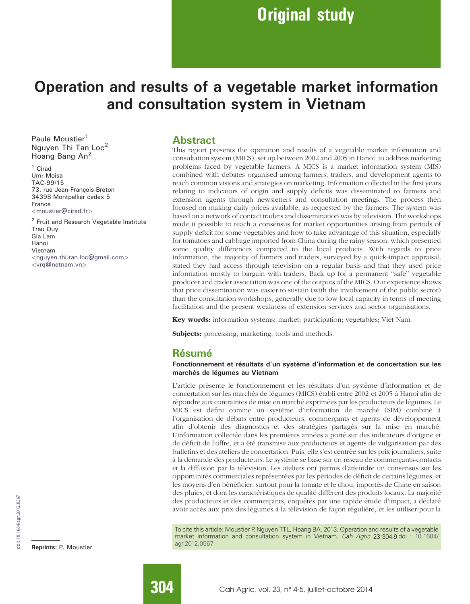# Operation and results of a vegetable market information and consultation system in Vietnam

Paule Moustier<sup>1</sup> Nguyen Thi Tan Loc<sup>2</sup> Hoang Bang An<sup>2</sup>

<sup>1</sup> Cirad Umr Moisa TAC-99/15 73, rue Jean-François-Breton 34398 Montpellier cedex 5 France <moustier@cirad.fr>

<sup>2</sup> Fruit and Research Vegetable Institute Trau Quy Gia Lam Hanoi Vietnam <nguyen.thi.tan.loc@gmail.com> <vrq@netnam.vn>

#### **Abstract**

This report presents the operation and results of a vegetable market information and consultation system (MICS), set up between 2002 and 2005 in Hanoi, to address marketing problems faced by vegetable farmers. A MICS is a market information system (MIS) combined with debates organised among farmers, traders, and development agents to reach common visions and strategies on marketing. Information collected in the first years relating to indicators of origin and supply deficits was disseminated to farmers and extension agents through newsletters and consultation meetings. The process then focused on making daily prices available, as requested by the farmers. The system was based on a network of contact traders and dissemination was by television. The workshops made it possible to reach a consensus for market opportunities arising from periods of supply deficit for some vegetables and how to take advantage of this situation, especially for tomatoes and cabbage imported from China during the rainy season, which presented some quality differences compared to the local products. With regards to price information, the majority of farmers and traders, surveyed by a quick-impact appraisal, stated they had access through television on a regular basis and that they used price information mostly to bargain with traders. Back up for a permanent ''safe'' vegetable producer and trader association was one of the outputs of the MICS. Our experience shows that price dissemination was easier to sustain (with the involvement of the public sector) than the consultation workshops, generally due to low local capacity in terms of meeting facilitation and the present weakness of extension services and sector organisations.

Key words: information systems; market; participation; vegetables; Viet Nam.

Subjects: processing, marketing; tools and methods.

### Résumé

#### Fonctionnement et résultats d'un système d'information et de concertation sur les marchés de légumes au Vietnam

L'article présente le fonctionnement et les résultats d'un système d'information et de concertation sur les marchés de légumes (MICS) établi entre 2002 et 2005 à Hanoi afin de répondre aux contraintes de mise en marché exprimées par les producteurs de légumes. Le MICS est défini comme un système d'information de marché (SIM) combiné à l'organisation de débats entre producteurs, commercants et agents de développement afin d'obtenir des diagnostics et des stratégies partagés sur la mise en marché. L'information collectée dans les premières années a porté sur des indicateurs d'origine et de déficit de l'offre, et a été transmise aux producteurs et agents de vulgarisation par des bulletins et des ateliers de concertation. Puis, elle s'est centrée sur les prix journaliers, suite à la demande des producteurs. Le système se base sur un réseau de commerçants-contacts et la diffusion par la télévision. Les ateliers ont permis d'atteindre un consensus sur les opportunités commerciales représentées par les périodes de déficit de certains légumes, et les moyens d'en bénéficier, surtout pour la tomate et le chou, importés de Chine en saison des pluies, et dont les caractéristiques de qualité diffèrent des produits locaux. La majorité des producteurs et des commerçants, enquêtés par une rapide étude d'impact, a déclaré avoir accès aux prix des légumes à la télévision de façon régulière, et les utiliser pour la

To cite this article: Moustier P, Nguyen TTL, Hoang BA, 2013. Operation and results of a vegetable market information and consultation system in Vietnam. *Cah Agric* 23:304-9 doi : 10.1684/<br>agr.2012.0567 agr.2012.0567

Reprints: P. Moustier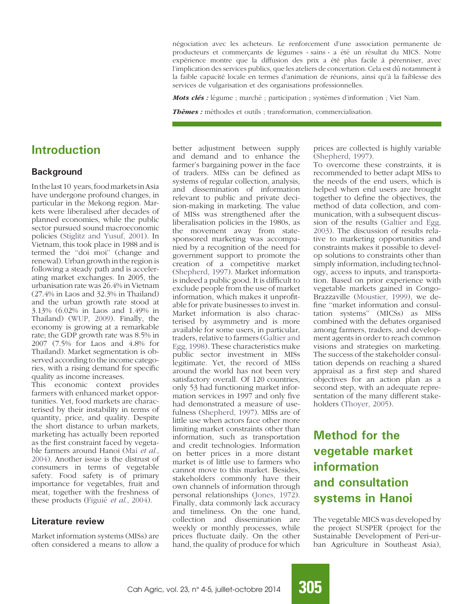négociation avec les acheteurs. Le renforcement d'une association permanente de producteurs et commerçants de légumes « sains » a été un résultat du MICS. Notre expérience montre que la diffusion des prix a été plus facile à pérenniser, avec l'implication des services publics, que les ateliers de concertation. Cela est dû notamment à la faible capacité locale en termes d'animation de réunions, ainsi qu'à la faiblesse des services de vulgarisation et des organisations professionnelles.

Mots clés : légume ; marché ; participation ; systèmes d'information ; Viet Nam.

**Thèmes :** méthodes et outils ; transformation, commercialisation.

### Introduction

#### **Background**

Inthelast 10 years, foodmarkets in Asia have undergone profound changes, in particular in the Mekong region. Markets were liberalised after decades of planned economies, while the public sector pursued sound macroeconomic policies (Stiglitz and Yusuf, 2001). In Vietnam, this took place in 1988 and is termed the ''doi moi'' (change and renewal). Urban growth in the region is following a steady path and is accelerating market exchanges. In 2005, the urbanisation rate was 26.4% in Vietnam (27.4% in Laos and 32.3% in Thailand) and the urban growth rate stood at 3.13% (6.02% in Laos and 1.49% in Thailand) (WUP, 2009). Finally, the economy is growing at a remarkable rate; the GDP growth rate was 8.5% in 2007 (7.5% for Laos and 4.8% for Thailand). Market segmentation is observed according to the income categories, with a rising demand for specific quality as income increases.

This economic context provides farmers with enhanced market opportunities. Yet, food markets are characterised by their instability in terms of quantity, price, and quality. Despite the short distance to urban markets, marketing has actually been reported as the first constraint faced by vegetable farmers around Hanoi (Mai et al., 2004). Another issue is the distrust of consumers in terms of vegetable safety. Food safety is of primary importance for vegetables, fruit and meat, together with the freshness of these products (Figuié et al., 2004).

#### Literature review

Market information systems (MISs) are often considered a means to allow a

better adjustment between supply and demand and to enhance the farmer's bargaining power in the face of traders. MISs can be defined as systems of regular collection, analysis, and dissemination of information relevant to public and private decision-making in marketing. The value of MISs was strengthened after the liberalisation policies in the 1980s, as the movement away from statesponsored marketing was accompanied by a recognition of the need for government support to promote the creation of a competitive market (Shepherd, 1997). Market information is indeed a public good. It is difficult to exclude people from the use of market information, which makes it unprofitable for private businesses to invest in. Market information is also characterised by asymmetry and is more available for some users, in particular, traders, relative to farmers (Galtier and Egg, 1998). These characteristics make public sector investment in MISs legitimate. Yet, the record of MISs around the world has not been very satisfactory overall. Of 120 countries, only 53 had functioning market information services in 1997 and only five had demonstrated a measure of usefulness (Shepherd, 1997). MISs are of little use when actors face other more limiting market constraints other than information, such as transportation and credit technologies. Information on better prices in a more distant market is of little use to farmers who cannot move to this market. Besides, stakeholders commonly have their own channels of information through personal relationships (Jones, 1972). Finally, data commonly lack accuracy and timeliness. On the one hand, collection and dissemination are weekly or monthly processes, while prices fluctuate daily. On the other hand, the quality of produce for which

prices are collected is highly variable (Shepherd, 1997).

To overcome these constraints, it is recommended to better adapt MISs to the needs of the end users, which is helped when end users are brought together to define the objectives, the method of data collection, and communication, with a subsequent discussion of the results (Galtier and Egg, 2003). The discussion of results relative to marketing opportunities and constraints makes it possible to develop solutions to constraints other than simply information, including technology, access to inputs, and transportation. Based on prior experience with vegetable markets gained in Congo-Brazzaville (Moustier, 1999), we define ''market information and consultation systems'' (MICSs) as MISs combined with the debates organised among farmers, traders, and development agents in order to reach common visions and strategies on marketing. The success of the stakeholder consultation depends on reaching a shared appraisal as a first step and shared objectives for an action plan as a second step, with an adequate representation of the many different stakeholders (Thoyer, 2005).

# Method for the vegetable market information and consultation systems in Hanoi

The vegetable MICS was developed by the project SUSPER (project for the Sustainable Development of Peri-urban Agriculture in Southeast Asia),

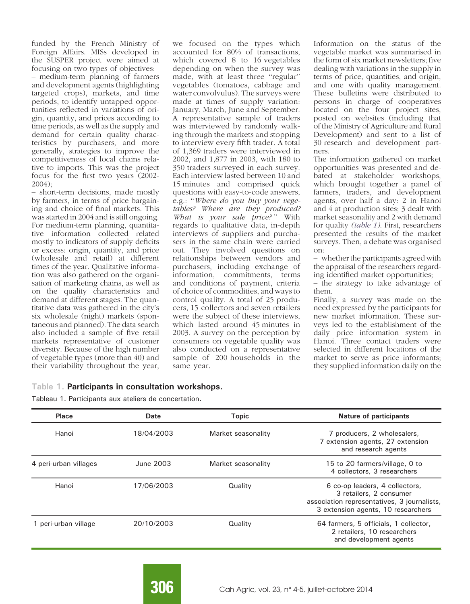funded by the French Ministry of Foreign Affairs. MISs developed in the SUSPER project were aimed at focusing on two types of objectives: – medium-term planning of farmers and development agents (highlighting targeted crops), markets, and time periods, to identify untapped opportunities reflected in variations of origin, quantity, and prices according to time periods, as well as the supply and demand for certain quality characteristics by purchasers, and more generally, strategies to improve the competitiveness of local chains relative to imports. This was the project focus for the first two years (2002- 2004);

– short-term decisions, made mostly by farmers, in terms of price bargaining and choice of final markets. This was started in 2004 and is still ongoing. For medium-term planning, quantitative information collected related mostly to indicators of supply deficits or excess: origin, quantity, and price (wholesale and retail) at different times of the year. Qualitative information was also gathered on the organisation of marketing chains, as well as on the quality characteristics and demand at different stages. The quantitative data was gathered in the city's six wholesale (night) markets (spontaneous and planned). The data search also included a sample of five retail markets representative of customer diversity. Because of the high number of vegetable types (more than 40) and their variability throughout the year,

we focused on the types which accounted for 80% of transactions, which covered 8 to 16 vegetables depending on when the survey was made, with at least three "regular" vegetables (tomatoes, cabbage and water convolvulus). The surveys were made at times of supply variation: January, March, June and September. A representative sample of traders was interviewed by randomly walking through the markets and stopping to interview every fifth trader. A total of 1,369 traders were interviewed in 2002, and 1,877 in 2003, with 180 to 350 traders surveyed in each survey. Each interview lasted between 10 and 15 minutes and comprised quick questions with easy-to-code answers, e.g.: ''Where do you buy your vegetables? Where are they produced? What is your sale price?" With regards to qualitative data, in-depth interviews of suppliers and purchasers in the same chain were carried out. They involved questions on relationships between vendors and purchasers, including exchange of information, commitments, terms and conditions of payment, criteria of choice of commodities, and ways to control quality. A total of 25 producers, 15 collectors and seven retailers were the subject of these interviews, which lasted around 45 minutes in 2003. A survey on the perception by consumers on vegetable quality was also conducted on a representative sample of 200 households in the same year.

Information on the status of the vegetable market was summarised in the form of six market newsletters; five dealing with variations in the supply in terms of price, quantities, and origin, and one with quality management. These bulletins were distributed to persons in charge of cooperatives located on the four project sites, posted on websites (including that of the Ministry of Agriculture and Rural Development) and sent to a list of 30 research and development partners.

The information gathered on market opportunities was presented and debated at stakeholder workshops, which brought together a panel of farmers, traders, and development agents, over half a day: 2 in Hanoi and 4 at production sites; 3 dealt with market seasonality and 2 with demand for quality (table 1). First, researchers presented the results of the market surveys. Then, a debate was organised on:

– whether the participants agreed with the appraisal of the researchers regarding identified market opportunities;

– the strategy to take advantage of them.

Finally, a survey was made on the need expressed by the participants for new market information. These surveys led to the establishment of the daily price information system in Hanoi. Three contact traders were selected in different locations of the market to serve as price informants; they supplied information daily on the

#### Table 1. Participants in consultation workshops.

Tableau 1. Participants aux ateliers de concertation.

| Place                 | <b>Date</b> | <b>Topic</b>       | <b>Nature of participants</b>                                                                                                                  |
|-----------------------|-------------|--------------------|------------------------------------------------------------------------------------------------------------------------------------------------|
| Hanoi                 | 18/04/2003  | Market seasonality | 7 producers, 2 wholesalers,<br>7 extension agents, 27 extension<br>and research agents                                                         |
| 4 peri-urban villages | June 2003   | Market seasonality | 15 to 20 farmers/village, 0 to<br>4 collectors, 3 researchers                                                                                  |
| Hanoi                 | 17/06/2003  | Quality            | 6 co-op leaders, 4 collectors,<br>3 retailers, 2 consumer<br>association representatives, 3 journalists,<br>3 extension agents, 10 researchers |
| 1 peri-urban village  | 20/10/2003  | Quality            | 64 farmers, 5 officials, 1 collector,<br>2 retailers, 10 researchers<br>and development agents                                                 |

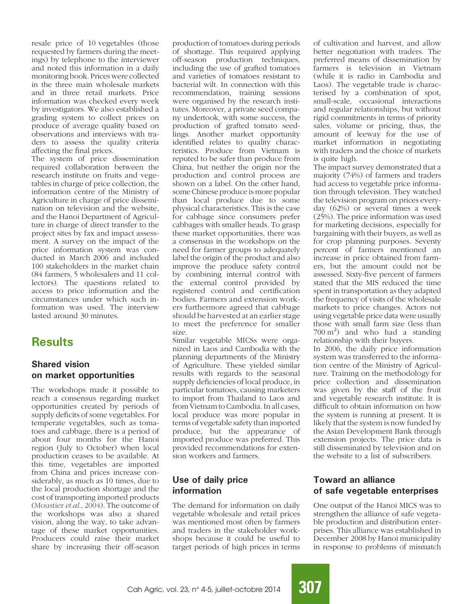resale price of 10 vegetables (those requested by farmers during the meetings) by telephone to the interviewer and noted this information in a daily monitoring book. Prices were collected in the three main wholesale markets and in three retail markets. Price information was checked every week by investigators. We also established a grading system to collect prices on produce of average quality based on observations and interviews with traders to assess the quality criteria affecting the final prices.

The system of price dissemination required collaboration between the research institute on fruits and vegetables in charge of price collection, the information centre of the Ministry of Agriculture in charge of price dissemination on television and the website, and the Hanoi Department of Agriculture in charge of direct transfer to the project sites by fax and impact assessment. A survey on the impact of the price information system was conducted in March 2006 and included 100 stakeholders in the market chain (84 farmers, 5 wholesalers and 11 collectors). The questions related to access to price information and the circumstances under which such information was used. The interview lasted around 30 minutes.

### **Results**

#### Shared vision on market opportunities

The workshops made it possible to reach a consensus regarding market opportunities created by periods of supply deficits of some vegetables. For temperate vegetables, such as tomatoes and cabbage, there is a period of about four months for the Hanoi region (July to October) when local production ceases to be available. At this time, vegetables are imported from China and prices increase considerably, as much as 10 times, due to the local production shortage and the cost of transporting imported products (Moustier et al., 2004). The outcome of the workshops was also a shared vision, along the way, to take advantage of these market opportunities. Producers could raise their market share by increasing their off-season

production of tomatoes during periods of shortage. This required applying off-season production techniques, including the use of grafted tomatoes and varieties of tomatoes resistant to bacterial wilt. In connection with this recommendation, training sessions were organised by the research institutes. Moreover, a private seed company undertook, with some success, the production of grafted tomato seedlings. Another market opportunity identified relates to quality characteristics. Produce from Vietnam is reputed to be safer than produce from China, but neither the origin nor the production and control process are shown on a label. On the other hand, some Chinese produce is more popular than local produce due to some physical characteristics. This is the case for cabbage since consumers prefer cabbages with smaller heads. To grasp these market opportunities, there was a consensus in the workshops on the need for farmer groups to adequately label the origin of the product and also improve the produce safety control by combining internal control with the external control provided by registered control and certification bodies. Farmers and extension workers furthermore agreed that cabbage should be harvested at an earlier stage to meet the preference for smaller size.

Similar vegetable MICSs were organized in Laos and Cambodia with the planning departments of the Ministry of Agriculture. These yielded similar results with regards to the seasonal supply deficiencies of local produce, in particular tomatoes, causing marketers to import from Thailand to Laos and from Vietnam to Cambodia. In all cases, local produce was more popular in terms of vegetable safety than imported produce, but the appearance of imported produce was preferred. This provided recommendations for extension workers and farmers.

### Use of daily price information

The demand for information on daily vegetable wholesale and retail prices was mentioned most often by farmers and traders in the stakeholder workshops because it could be useful to target periods of high prices in terms

of cultivation and harvest, and allow better negotiation with traders. The preferred means of dissemination by farmers is television in Vietnam (while it is radio in Cambodia and Laos). The vegetable trade is characterised by a combination of spot, small-scale, occasional interactions and regular relationships, but without rigid commitments in terms of priority sales, volume or pricing, thus, the amount of leeway for the use of market information in negotiating with traders and the choice of markets is quite high.

The impact survey demonstrated that a majority (74%) of farmers and traders had access to vegetable price information through television. They watched the television program on prices everyday (62%) or several times a week (25%). The price information was used for marketing decisions, especially for bargaining with their buyers, as well as for crop planning purposes. Seventy percent of farmers mentioned an increase in price obtained from farmers, but the amount could not be assessed. Sixty-five percent of farmers stated that the MIS reduced the time spent in transportation as they adapted the frequency of visits of the wholesale markets to price changes. Actors not using vegetable price data were usually those with small farm size (less than  $700 \text{ m}^2$ ) and who had a standing relationship with their buyers.

In 2006, the daily price information system was transferred to the information centre of the Ministry of Agriculture. Training on the methodology for price collection and dissemination was given by the staff of the fruit and vegetable research institute. It is difficult to obtain information on how the system is running at present. It is likely that the system is now funded by the Asian Development Bank through extension projects. The price data is still disseminated by television and on the website to a list of subscribers.

#### Toward an alliance of safe vegetable enterprises

One output of the Hanoi MICS was to strengthen the alliance of safe vegetable production and distribution enterprises. This alliance was established in December 2008 by Hanoi municipality in response to problems of mismatch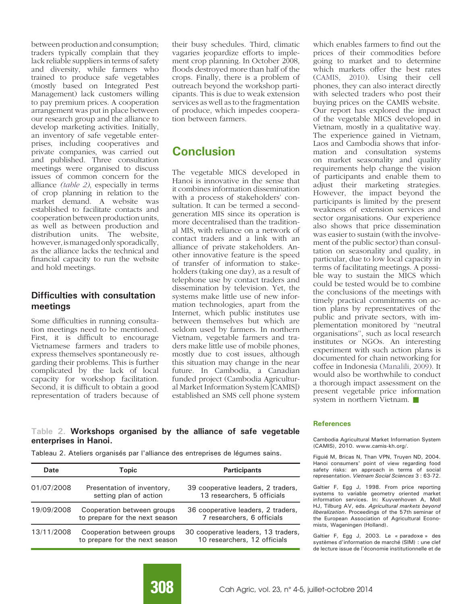between production and consumption; traders typically complain that they lack reliable suppliers in terms of safety and diversity, while farmers who trained to produce safe vegetables (mostly based on Integrated Pest Management) lack customers willing to pay premium prices. A cooperation arrangement was put in place between our research group and the alliance to develop marketing activities. Initially, an inventory of safe vegetable enterprises, including cooperatives and private companies, was carried out and published. Three consultation meetings were organised to discuss issues of common concern for the alliance (table 2), especially in terms of crop planning in relation to the market demand. A website was established to facilitate contacts and cooperation between production units, as well as between production and distribution units. The website, however, is managed only sporadically, as the alliance lacks the technical and financial capacity to run the website and hold meetings.

#### Difficulties with consultation meetings

Some difficulties in running consultation meetings need to be mentioned. First, it is difficult to encourage Vietnamese farmers and traders to express themselves spontaneously regarding their problems. This is further complicated by the lack of local capacity for workshop facilitation. Second, it is difficult to obtain a good representation of traders because of their busy schedules. Third, climatic vagaries jeopardize efforts to implement crop planning. In October 2008, floods destroyed more than half of the crops. Finally, there is a problem of outreach beyond the workshop participants. This is due to weak extension services as well as to the fragmentation of produce, which impedes cooperation between farmers.

## **Conclusion**

The vegetable MICS developed in Hanoi is innovative in the sense that it combines information dissemination with a process of stakeholders' consultation. It can be termed a secondgeneration MIS since its operation is more decentralised than the traditional MIS, with reliance on a network of contact traders and a link with an alliance of private stakeholders. Another innovative feature is the speed of transfer of information to stakeholders (taking one day), as a result of telephone use by contact traders and dissemination by television. Yet, the systems make little use of new information technologies, apart from the Internet, which public institutes use between themselves but which are seldom used by farmers. In northern Vietnam, vegetable farmers and traders make little use of mobile phones, mostly due to cost issues, although this situation may change in the near future. In Cambodia, a Canadian funded project (Cambodia Agricultural Market Information System [CAMIS]) established an SMS cell phone system

which enables farmers to find out the prices of their commodities before going to market and to determine which markets offer the best rates (CAMIS, 2010). Using their cell phones, they can also interact directly with selected traders who post their buying prices on the CAMIS website. Our report has explored the impact of the vegetable MICS developed in Vietnam, mostly in a qualitative way. The experience gained in Vietnam, Laos and Cambodia shows that information and consultation systems on market seasonality and quality requirements help change the vision of participants and enable them to adjust their marketing strategies. However, the impact beyond the participants is limited by the present weakness of extension services and sector organisations. Our experience also shows that price dissemination was easier to sustain (with the involvement of the public sector) than consultation on seasonality and quality, in particular, due to low local capacity in terms of facilitating meetings. A possible way to sustain the MICS which could be tested would be to combine the conclusions of the meetings with timely practical commitments on action plans by representatives of the public and private sectors, with implementation monitored by ''neutral organisations'', such as local research institutes or NGOs. An interesting experiment with such action plans is documented for chain networking for coffee in Indonesia (Manalili, 2009). It would also be worthwhile to conduct a thorough impact assessment on the present vegetable price information system in northern Vietnam.  $\blacksquare$ 

#### Table 2. Workshops organised by the alliance of safe vegetable enterprises in Hanoi.

Tableau 2. Ateliers organisés par l'alliance des entreprises de légumes sains.

| Date       | Topic                                                        | <b>Participants</b>                                                 |
|------------|--------------------------------------------------------------|---------------------------------------------------------------------|
| 01/07/2008 | Presentation of inventory,<br>setting plan of action         | 39 cooperative leaders, 2 traders,<br>13 researchers, 5 officials   |
| 19/09/2008 | Cooperation between groups<br>to prepare for the next season | 36 cooperative leaders, 2 traders,<br>7 researchers, 6 officials    |
| 13/11/2008 | Cooperation between groups<br>to prepare for the next season | 30 cooperative leaders, 13 traders,<br>10 researchers, 12 officials |

#### **References**

Cambodia Agricultural Market Information System (CAMIS), 2010. www.camis-kh.org/.

Figuié M, Bricas N, Than VPN, Truyen ND, 2004. Hanoi consumers' point of view regarding food safety risks: an approach in terms of social representation. Vietnam Social Sciences 3 : 63-72.

Galtier F, Egg J, 1998. From price reporting systems to variable geometry oriented market information services. In: Kuyvenhoven A, Moll HJ, Tilburg AV, eds. Agricultural markets beyond liberalization. Proceedings of the 57th seminar of the European Association of Agricultural Economists, Wageningen (Holland).

Galtier F, Egg J, 2003. Le « paradoxe » des systèmes d'information de marché (SIM) : une clef de lecture issue de l'économie institutionnelle et de